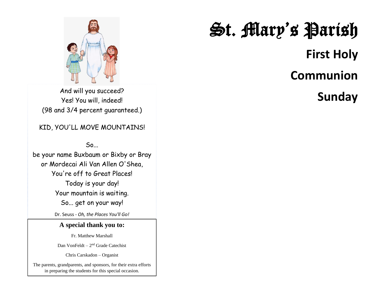

Yes! You will, indeed! (98 and 3/4 percent guaranteed.)

### KID, YOU'LL MOVE MOUNTAINS!

 $So...$ 

be your name Buxbaum or Bixby or Bray or Mordecai Ali Van Allen O'Shea, You're off to Great Places! Today is your day! Your mountain is waiting. So... get on your way!

Dr. Seuss - *Oh, the Places You'll Go!*

#### **A special thank you to:**

Fr. Matthew Marshall

Dan VonFeldt – 2<sup>nd</sup> Grade Catechist

Chris Carskadon – Organist

The parents, grandparents, and sponsors, for their extra efforts in preparing the students for this special occasion.

# St. Mary's Parish  **First Holy Communion**  And will you succeed?<br>Yes! You will, indeed! **Sunday**